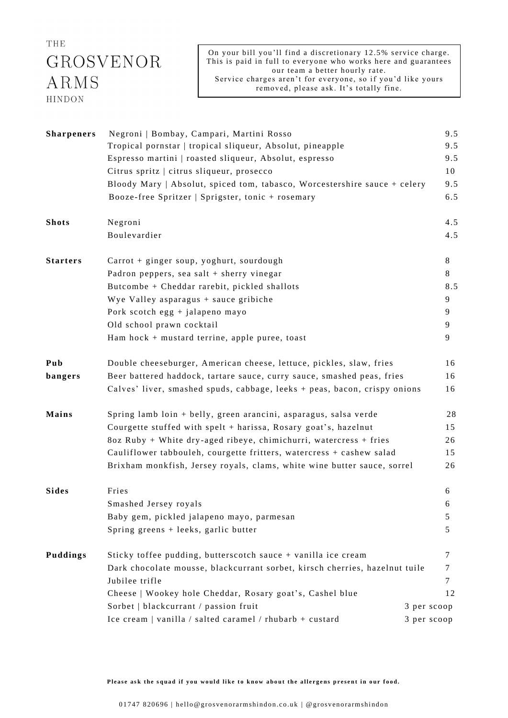## THE GROSVENOR  $ARMS$ HINDON

On your bill you'll find a discretionary 12.5% service charge. This is paid in full to everyone who works here and guarantees our team a better hourly rate. Service charges aren't for everyone, so if you'd like yours removed, please ask. It's totally fine.

| <b>Sharpeners</b> | Negroni   Bombay, Campari, Martini Rosso                                    |             | 9.5 |
|-------------------|-----------------------------------------------------------------------------|-------------|-----|
|                   | Tropical pornstar   tropical sliqueur, Absolut, pineapple                   |             |     |
|                   | Espresso martini   roasted sliqueur, Absolut, espresso                      |             | 9.5 |
|                   | Citrus spritz   citrus sliqueur, prosecco                                   |             | 10  |
|                   | Bloody Mary   Absolut, spiced tom, tabasco, Worcestershire sauce + celery   |             | 9.5 |
|                   | Booze-free Spritzer   Sprigster, tonic + rosemary                           |             | 6.5 |
| <b>Shots</b>      | Negroni                                                                     |             | 4.5 |
|                   | Boulevardier                                                                |             | 4.5 |
| <b>Starters</b>   | Carrot + ginger soup, yoghurt, sourdough                                    |             | 8   |
|                   | Padron peppers, sea salt + sherry vinegar                                   |             | 8   |
|                   | Butcombe + Cheddar rarebit, pickled shallots                                |             | 8.5 |
|                   | Wye Valley asparagus + sauce gribiche                                       |             | 9   |
|                   | Pork scotch egg + jalapeno mayo                                             |             | 9   |
|                   | Old school prawn cocktail                                                   |             | 9   |
|                   | Ham hock $+$ mustard terrine, apple puree, toast                            |             | 9   |
| Pub               | Double cheeseburger, American cheese, lettuce, pickles, slaw, fries         |             | 16  |
| bangers           | Beer battered haddock, tartare sauce, curry sauce, smashed peas, fries      |             | 16  |
|                   | Calves' liver, smashed spuds, cabbage, leeks + peas, bacon, crispy onions   |             | 16  |
| Mains             | Spring lamb loin + belly, green arancini, asparagus, salsa verde            |             | 28  |
|                   | Courgette stuffed with spelt + harissa, Rosary goat's, hazelnut             |             | 15  |
|                   | 8oz Ruby + White dry-aged ribeye, chimichurri, watercress + fries           |             | 26  |
|                   | Cauliflower tabbouleh, courgette fritters, watercress + cashew salad        |             | 15  |
|                   | Brixham monkfish, Jersey royals, clams, white wine butter sauce, sorrel     |             | 26  |
| <b>Sides</b>      | Fries                                                                       |             | 6   |
|                   | Smashed Jersey royals                                                       |             | 6   |
|                   | Baby gem, pickled jalapeno mayo, parmesan                                   |             | 5   |
|                   | Spring greens + leeks, garlic butter                                        |             | 5   |
| <b>Puddings</b>   | Sticky toffee pudding, butterscotch sauce + vanilla ice cream               |             | 7   |
|                   | Dark chocolate mousse, blackcurrant sorbet, kirsch cherries, hazelnut tuile |             | 7   |
|                   | Jubilee trifle                                                              |             | 7   |
|                   | Cheese   Wookey hole Cheddar, Rosary goat's, Cashel blue                    |             | 12  |
|                   | Sorbet   blackcurrant / passion fruit<br>3 per scoop                        |             |     |
|                   | Ice cream   vanilla / salted caramel / rhubarb + custard                    | 3 per scoop |     |

Please ask the squad if you would like to know about the allergens present in our food.